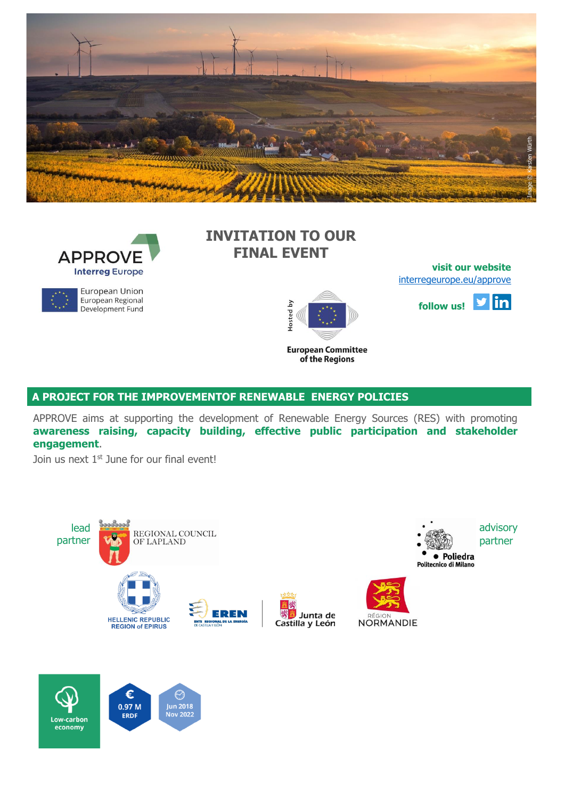



## European Union European Regional Development Fund

**INVITATION TO OUR FINAL EVENT**



of the Regions

**[visit](http://eepurl.com/gbcZA9) our website** [interregeurope.eu/approve](file:///C:/Users/Lue/Dropbox/0%20work%20in%20progress%20AleAlex/APPROVE/4%20communication/Newsletter/NL3/interregeurope.eu/approve)



**A PROJECT FOR THE IMPROVEMENTOF RENEWABLE ENERGY POLICIES**

APPROVE aims at supporting the development of Renewable Energy Sources (RES) with promoting **awareness raising, capacity building, effective public participation and stakeholder engagement**.

Join us next 1<sup>st</sup> June for our final event!



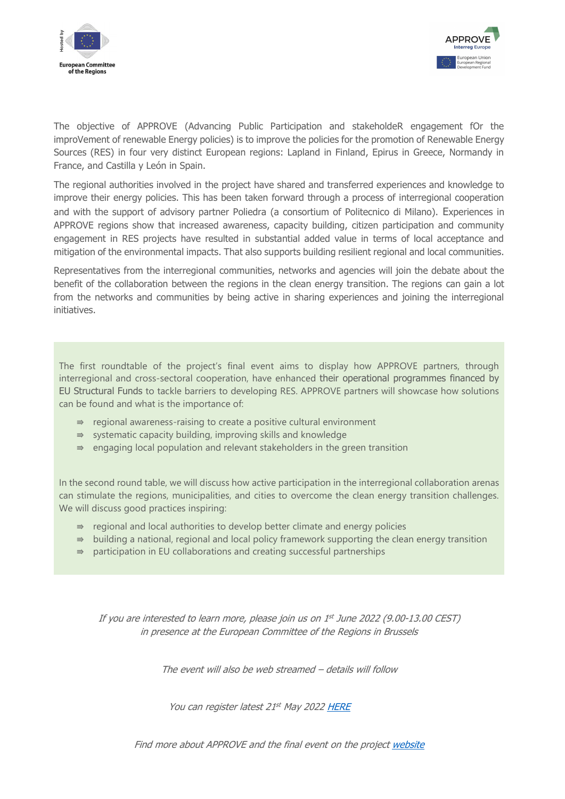



The objective of APPROVE (Advancing Public Participation and stakeholdeR engagement fOr the improVement of renewable Energy policies) is to improve the policies for the promotion of Renewable Energy Sources (RES) in four very distinct European regions: Lapland in Finland, Epirus in Greece, Normandy in France, and Castilla y León in Spain.

The regional authorities involved in the project have shared and transferred experiences and knowledge to improve their energy policies. This has been taken forward through a process of interregional cooperation and with the support of advisory partner Poliedra (a consortium of Politecnico di Milano). Experiences in APPROVE regions show that increased awareness, capacity building, citizen participation and community engagement in RES projects have resulted in substantial added value in terms of local acceptance and mitigation of the environmental impacts. That also supports building resilient regional and local communities.

Representatives from the interregional communities, networks and agencies will join the debate about the benefit of the collaboration between the regions in the clean energy transition. The regions can gain a lot from the networks and communities by being active in sharing experiences and joining the interregional initiatives.

The first roundtable of the project's final event aims to display how APPROVE partners, through interregional and cross-sectoral cooperation, have enhanced their operational programmes financed by EU Structural Funds to tackle barriers to developing RES. APPROVE partners will showcase how solutions can be found and what is the importance of:

- $\Rightarrow$  regional awareness-raising to create a positive cultural environment
- ⇛ systematic capacity building, improving skills and knowledge
- $\Rightarrow$  engaging local population and relevant stakeholders in the green transition

In the second round table, we will discuss how active participation in the interregional collaboration arenas can stimulate the regions, municipalities, and cities to overcome the clean energy transition challenges. We will discuss good practices inspiring:

- $\Rightarrow$  regional and local authorities to develop better climate and energy policies
- $\Rightarrow$  building a national, regional and local policy framework supporting the clean energy transition
- $\Rightarrow$  participation in EU collaborations and creating successful partnerships

If you are interested to learn more, please join us on 1 st June 2022 (9.00-13.00 CEST) in presence at the European Committee of the Regions in Brussels

The event will also be web streamed – details will follow

You can register latest 21st May 202[2 HERE](https://forms.gle/oRFsRGWqVThk8i3Q7)

Find more about APPROVE and the final event on the project [website](https://projects2014-2020.interregeurope.eu/approve/)